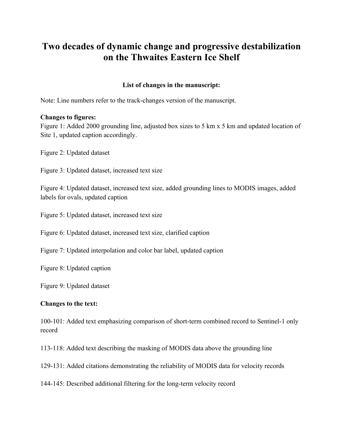# **Two decades of dynamic change and progressive destabilization on the Thwaites Eastern Ice Shelf**

#### **List of changes in the manuscript:**

Note: Line numbers refer to the track-changes version of the manuscript.

#### **Changes to figures:**

Figure 1: Added 2000 grounding line, adjusted box sizes to 5 km x 5 km and updated location of Site 1, updated caption accordingly.

Figure 2: Updated dataset

Figure 3: Updated dataset, increased text size

Figure 4: Updated dataset, increased text size, added grounding lines to MODIS images, added labels for ovals, updated caption

Figure 5: Updated dataset, increased text size

Figure 6: Updated dataset, increased text size, clarified caption

Figure 7: Updated interpolation and color bar label, updated caption

Figure 8: Updated caption

Figure 9: Updated dataset

#### **Changes to the text:**

100-101: Added text emphasizing comparison of short-term combined record to Sentinel-1 only record

113-118: Added text describing the masking of MODIS data above the grounding line

129-131: Added citations demonstrating the reliability of MODIS data for velocity records

144-145: Described additional filtering for the long-term velocity record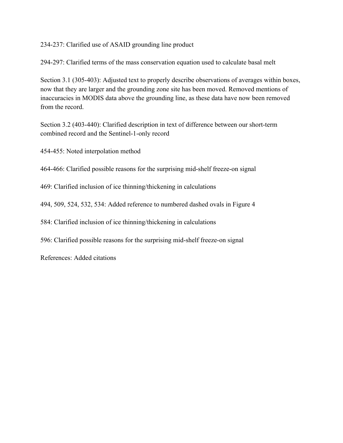234-237: Clarified use of ASAID grounding line product

294-297: Clarified terms of the mass conservation equation used to calculate basal melt

Section 3.1 (305-403): Adjusted text to properly describe observations of averages within boxes, now that they are larger and the grounding zone site has been moved. Removed mentions of inaccuracies in MODIS data above the grounding line, as these data have now been removed from the record.

Section 3.2 (403-440): Clarified description in text of difference between our short-term combined record and the Sentinel-1-only record

454-455: Noted interpolation method

464-466: Clarified possible reasons for the surprising mid-shelf freeze-on signal

469: Clarified inclusion of ice thinning/thickening in calculations

494, 509, 524, 532, 534: Added reference to numbered dashed ovals in Figure 4

584: Clarified inclusion of ice thinning/thickening in calculations

596: Clarified possible reasons for the surprising mid-shelf freeze-on signal

References: Added citations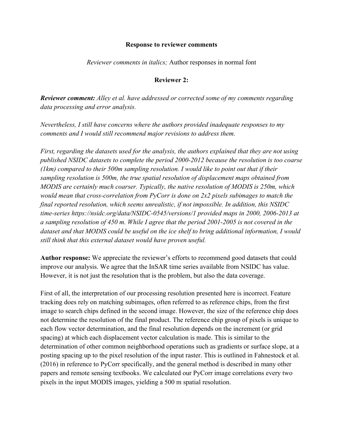#### **Response to reviewer comments**

*Reviewer comments in italics;* Author responses in normal font

#### **Reviewer 2:**

*Reviewer comment: Alley et al. have addressed or corrected some of my comments regarding data processing and error analysis.*

*Nevertheless, I still have concerns where the authors provided inadequate responses to my comments and I would still recommend major revisions to address them.*

*First, regarding the datasets used for the analysis, the authors explained that they are not using published NSIDC datasets to complete the period 2000-2012 because the resolution is too coarse (1km) compared to their 500m sampling resolution. I would like to point out that if their sampling resolution is 500m, the true spatial resolution of displacement maps obtained from MODIS are certainly much coarser. Typically, the native resolution of MODIS is 250m, which would mean that cross-correlation from PyCorr is done on 2x2 pixels subimages to match the final reported resolution, which seems unrealistic, if not impossible. In addition, this NSIDC time-series https://nsidc.org/data/NSIDC-0545/versions/1 provided maps in 2000, 2006-2013 at a sampling resolution of 450 m. While I agree that the period 2001-2005 is not covered in the dataset and that MODIS could be useful on the ice shelf to bring additional information, I would still think that this external dataset would have proven useful.* 

**Author response:** We appreciate the reviewer's efforts to recommend good datasets that could improve our analysis. We agree that the InSAR time series available from NSIDC has value. However, it is not just the resolution that is the problem, but also the data coverage.

First of all, the interpretation of our processing resolution presented here is incorrect. Feature tracking does rely on matching subimages, often referred to as reference chips, from the first image to search chips defined in the second image. However, the size of the reference chip does not determine the resolution of the final product. The reference chip group of pixels is unique to each flow vector determination, and the final resolution depends on the increment (or grid spacing) at which each displacement vector calculation is made. This is similar to the determination of other common neighborhood operations such as gradients or surface slope, at a posting spacing up to the pixel resolution of the input raster. This is outlined in Fahnestock et al. (2016) in reference to PyCorr specifically, and the general method is described in many other papers and remote sensing textbooks. We calculated our PyCorr image correlations every two pixels in the input MODIS images, yielding a 500 m spatial resolution.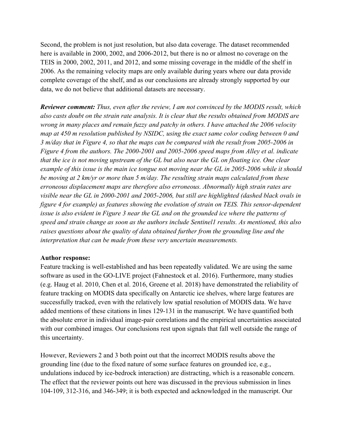Second, the problem is not just resolution, but also data coverage. The dataset recommended here is available in 2000, 2002, and 2006-2012, but there is no or almost no coverage on the TEIS in 2000, 2002, 2011, and 2012, and some missing coverage in the middle of the shelf in 2006. As the remaining velocity maps are only available during years where our data provide complete coverage of the shelf, and as our conclusions are already strongly supported by our data, we do not believe that additional datasets are necessary.

*Reviewer comment: Thus, even after the review, I am not convinced by the MODIS result, which also casts doubt on the strain rate analysis. It is clear that the results obtained from MODIS are wrong in many places and remain fuzzy and patchy in others. I have attached the 2006 velocity map at 450 m resolution published by NSIDC, using the exact same color coding between 0 and 3 m/day that in Figure 4, so that the maps can be compared with the result from 2005-2006 in Figure 4 from the authors. The 2000-2001 and 2005-2006 speed maps from Alley et al. indicate that the ice is not moving upstream of the GL but also near the GL on floating ice. One clear example of this issue is the main ice tongue not moving near the GL in 2005-2006 while it should be moving at 2 km/yr or more than 5 m/day. The resulting strain maps calculated from these erroneous displacement maps are therefore also erroneous. Abnormally high strain rates are visible near the GL in 2000-2001 and 2005-2006, but still are highlighted (dashed black ovals in figure 4 for example) as features showing the evolution of strain on TEIS. This sensor-dependent issue is also evident in Figure 3 near the GL and on the grounded ice where the patterns of speed and strain change as soon as the authors include Sentinel1 results. As mentioned, this also raises questions about the quality of data obtained further from the grounding line and the interpretation that can be made from these very uncertain measurements.*

### **Author response:**

Feature tracking is well-established and has been repeatedly validated. We are using the same software as used in the GO-LIVE project (Fahnestock et al. 2016). Furthermore, many studies (e.g. Haug et al. 2010, Chen et al. 2016, Greene et al. 2018) have demonstrated the reliability of feature tracking on MODIS data specifically on Antarctic ice shelves, where large features are successfully tracked, even with the relatively low spatial resolution of MODIS data. We have added mentions of these citations in lines 129-131 in the manuscript. We have quantified both the absolute error in individual image-pair correlations and the empirical uncertainties associated with our combined images. Our conclusions rest upon signals that fall well outside the range of this uncertainty.

However, Reviewers 2 and 3 both point out that the incorrect MODIS results above the grounding line (due to the fixed nature of some surface features on grounded ice, e.g., undulations induced by ice-bedrock interaction) are distracting, which is a reasonable concern. The effect that the reviewer points out here was discussed in the previous submission in lines 104-109, 312-316, and 346-349; it is both expected and acknowledged in the manuscript. Our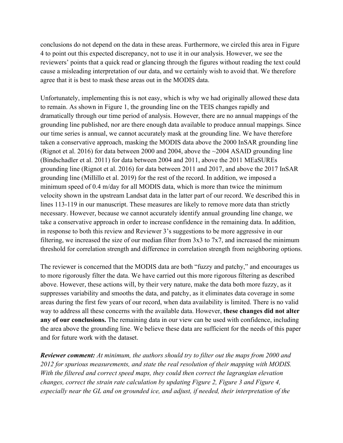conclusions do not depend on the data in these areas. Furthermore, we circled this area in Figure 4 to point out this expected discrepancy, not to use it in our analysis. However, we see the reviewers' points that a quick read or glancing through the figures without reading the text could cause a misleading interpretation of our data, and we certainly wish to avoid that. We therefore agree that it is best to mask these areas out in the MODIS data.

Unfortunately, implementing this is not easy, which is why we had originally allowed these data to remain. As shown in Figure 1, the grounding line on the TEIS changes rapidly and dramatically through our time period of analysis. However, there are no annual mappings of the grounding line published, nor are there enough data available to produce annual mappings. Since our time series is annual, we cannot accurately mask at the grounding line. We have therefore taken a conservative approach, masking the MODIS data above the 2000 InSAR grounding line (Rignot et al. 2016) for data between 2000 and 2004, above the ~2004 ASAID grounding line (Bindschadler et al. 2011) for data between 2004 and 2011, above the 2011 MEaSUREs grounding line (Rignot et al. 2016) for data between 2011 and 2017, and above the 2017 InSAR grounding line (Millillo et al. 2019) for the rest of the record. In addition, we imposed a minimum speed of 0.4 m/day for all MODIS data, which is more than twice the minimum velocity shown in the upstream Landsat data in the latter part of our record. We described this in lines 113-119 in our manuscript. These measures are likely to remove more data than strictly necessary. However, because we cannot accurately identify annual grounding line change, we take a conservative approach in order to increase confidence in the remaining data. In addition, in response to both this review and Reviewer 3's suggestions to be more aggressive in our filtering, we increased the size of our median filter from  $3x3$  to  $7x7$ , and increased the minimum threshold for correlation strength and difference in correlation strength from neighboring options.

The reviewer is concerned that the MODIS data are both "fuzzy and patchy," and encourages us to more rigorously filter the data. We have carried out this more rigorous filtering as described above. However, these actions will, by their very nature, make the data both more fuzzy, as it suppresses variability and smooths the data, and patchy, as it eliminates data coverage in some areas during the first few years of our record, when data availability is limited. There is no valid way to address all these concerns with the available data. However, **these changes did not alter any of our conclusions.** The remaining data in our view can be used with confidence, including the area above the grounding line. We believe these data are sufficient for the needs of this paper and for future work with the dataset.

*Reviewer comment: At minimum, the authors should try to filter out the maps from 2000 and 2012 for spurious measurements, and state the real resolution of their mapping with MODIS. With the filtered and correct speed maps, they could then correct the lagrangian elevation changes, correct the strain rate calculation by updating Figure 2, Figure 3 and Figure 4, especially near the GL and on grounded ice, and adjust, if needed, their interpretation of the*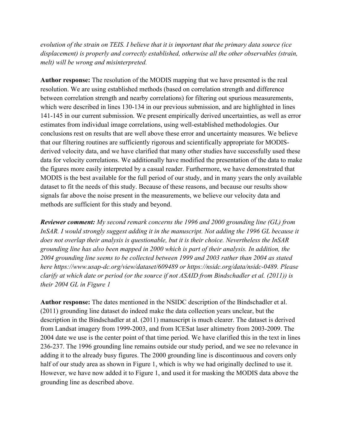*evolution of the strain on TEIS. I believe that it is important that the primary data source (ice displacement) is properly and correctly established, otherwise all the other observables (strain, melt) will be wrong and misinterpreted.*

**Author response:** The resolution of the MODIS mapping that we have presented is the real resolution. We are using established methods (based on correlation strength and difference between correlation strength and nearby correlations) for filtering out spurious measurements, which were described in lines 130-134 in our previous submission, and are highlighted in lines 141-145 in our current submission. We present empirically derived uncertainties, as well as error estimates from individual image correlations, using well-established methodologies. Our conclusions rest on results that are well above these error and uncertainty measures. We believe that our filtering routines are sufficiently rigorous and scientifically appropriate for MODISderived velocity data, and we have clarified that many other studies have successfully used these data for velocity correlations. We additionally have modified the presentation of the data to make the figures more easily interpreted by a casual reader. Furthermore, we have demonstrated that MODIS is the best available for the full period of our study, and in many years the only available dataset to fit the needs of this study. Because of these reasons, and because our results show signals far above the noise present in the measurements, we believe our velocity data and methods are sufficient for this study and beyond.

*Reviewer comment: My second remark concerns the 1996 and 2000 grounding line (GL) from*  InSAR. I would strongly suggest adding it in the manuscript. Not adding the 1996 GL because it *does not overlap their analysis is questionable, but it is their choice. Nevertheless the InSAR grounding line has also been mapped in 2000 which is part of their analysis. In addition, the 2004 grounding line seems to be collected between 1999 and 2003 rather than 2004 as stated here https://www.usap-dc.org/view/dataset/609489 or https://nsidc.org/data/nsidc-0489. Please clarify at which date or period (or the source if not ASAID from Bindschadler et al. (2011)) is their 2004 GL in Figure 1*

**Author response:** The dates mentioned in the NSIDC description of the Bindschadler et al. (2011) grounding line dataset do indeed make the data collection years unclear, but the description in the Bindschadler at al. (2011) manuscript is much clearer. The dataset is derived from Landsat imagery from 1999-2003, and from ICESat laser altimetry from 2003-2009. The 2004 date we use is the center point of that time period. We have clarified this in the text in lines 236-237. The 1996 grounding line remains outside our study period, and we see no relevance in adding it to the already busy figures. The 2000 grounding line is discontinuous and covers only half of our study area as shown in Figure 1, which is why we had originally declined to use it. However, we have now added it to Figure 1, and used it for masking the MODIS data above the grounding line as described above.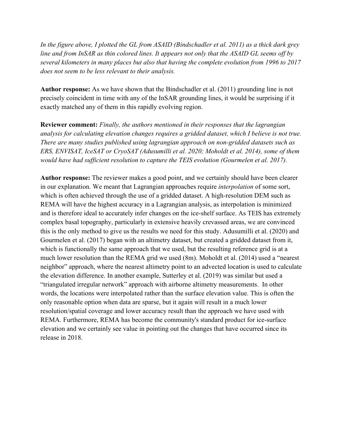*In the figure above, I plotted the GL from ASAID (Bindschadler et al. 2011) as a thick dark grey line and from InSAR as thin colored lines. It appears not only that the ASAID GL seems off by several kilometers in many places but also that having the complete evolution from 1996 to 2017 does not seem to be less relevant to their analysis.*

**Author response:** As we have shown that the Bindschadler et al. (2011) grounding line is not precisely coincident in time with any of the InSAR grounding lines, it would be surprising if it exactly matched any of them in this rapidly evolving region.

**Reviewer comment:** *Finally, the authors mentioned in their responses that the lagrangian analysis for calculating elevation changes requires a gridded dataset, which I believe is not true. There are many studies published using lagrangian approach on non-gridded datasets such as ERS, ENVISAT, IceSAT or CryoSAT (Adusumilli et al. 2020; Moholdt et al. 2014), some of them would have had sufficient resolution to capture the TEIS evolution (Gourmelen et al. 2017).*

**Author response:** The reviewer makes a good point, and we certainly should have been clearer in our explanation. We meant that Lagrangian approaches require *interpolation* of some sort, which is often achieved through the use of a gridded dataset. A high-resolution DEM such as REMA will have the highest accuracy in a Lagrangian analysis, as interpolation is minimized and is therefore ideal to accurately infer changes on the ice-shelf surface. As TEIS has extremely complex basal topography, particularly in extensive heavily crevassed areas, we are convinced this is the only method to give us the results we need for this study. Adusumilli et al. (2020) and Gourmelen et al. (2017) began with an altimetry dataset, but created a gridded dataset from it, which is functionally the same approach that we used, but the resulting reference grid is at a much lower resolution than the REMA grid we used (8m). Moholdt et al. (2014) used a "nearest neighbor" approach, where the nearest altimetry point to an advected location is used to calculate the elevation difference. In another example, Sutterley et al. (2019) was similar but used a "triangulated irregular network" approach with airborne altimetry measurements. In other words, the locations were interpolated rather than the surface elevation value. This is often the only reasonable option when data are sparse, but it again will result in a much lower resolution/spatial coverage and lower accuracy result than the approach we have used with REMA. Furthermore, REMA has become the community's standard product for ice-surface elevation and we certainly see value in pointing out the changes that have occurred since its release in 2018.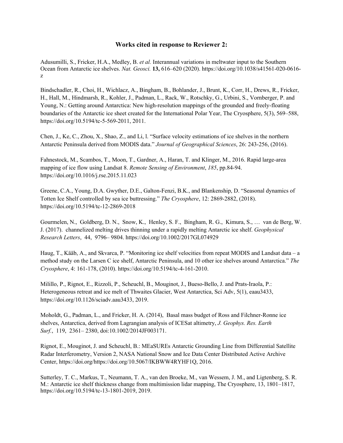#### **Works cited in response to Reviewer 2:**

Adusumilli, S., Fricker, H.A., Medley, B. *et al.* Interannual variations in meltwater input to the Southern Ocean from Antarctic ice shelves. *Nat. Geosci.* **13,** 616–620 (2020). https://doi.org/10.1038/s41561-020-0616 z

Bindschadler, R., Choi, H., Wichlacz, A., Bingham, B., Bohlander, J., Brunt, K., Corr, H., Drews, R., Fricker, H., Hall, M., Hindmarsh, R., Kohler, J., Padman, L., Rack, W., Rotschky, G., Urbini, S., Vornberger, P. and Young, N.: Getting around Antarctica: New high-resolution mappings of the grounded and freely-floating boundaries of the Antarctic ice sheet created for the International Polar Year, The Cryosphere, 5(3), 569–588, https://doi.org/10.5194/tc-5-569-2011, 2011.

Chen, J., Ke, C., Zhou, X., Shao, Z., and Li, l. "Surface velocity estimations of ice shelves in the northern Antarctic Peninsula derived from MODIS data." *Journal of Geographical Sciences*, 26: 243-256, (2016).

Fahnestock, M., Scambos, T., Moon, T., Gardner, A., Haran, T. and Klinger, M., 2016. Rapid large-area mapping of ice flow using Landsat 8. *Remote Sensing of Environment*, *185*, pp.84-94. https://doi.org/10.1016/j.rse.2015.11.023

Greene, C.A., Young, D.A. Gwyther, D.E., Galton-Fenzi, B.K., and Blankenship, D. "Seasonal dynamics of Totten Ice Shelf controlled by sea ice buttressing." *The Cryosphere*, 12: 2869-2882, (2018). https://doi.org/10.5194/tc-12-2869-2018

Gourmelen, N., Goldberg, D. N., Snow, K., Henley, S. F., Bingham, R. G., Kimura, S., … van de Berg, W. J. (2017). channelized melting drives thinning under a rapidly melting Antarctic ice shelf. *Geophysical Research Letters*, 44, 9796– 9804. https://doi.org/10.1002/2017GL074929

Haug, T., Kääb, A., and Skvarca, P. "Monitoring ice shelf velocities from repeat MODIS and Landsat data – a method study on the Larsen C ice shelf, Antarctic Peninsula, and 10 other ice shelves around Antarctica." *The Cryosphere*, 4: 161-178, (2010). https://doi.org/10.5194/tc-4-161-2010.

Milillo, P., Rignot, E., Rizzoli, P., Scheuchl, B., Mouginot, J., Bueso-Bello, J. and Prats-Iraola, P.: Heterogeneous retreat and ice melt of Thwaites Glacier, West Antarctica, Sci Adv, 5(1), eaau3433, https://doi.org/10.1126/sciadv.aau3433, 2019.

Moholdt, G., Padman, L., and Fricker, H. A. (2014), Basal mass budget of Ross and Filchner-Ronne ice shelves, Antarctica, derived from Lagrangian analysis of ICESat altimetry, *J. Geophys. Res. Earth Surf.*, 119, 2361– 2380, doi:10.1002/2014JF003171.

Rignot, E., Mouginot, J. and Scheuchl, B.: MEaSUREs Antarctic Grounding Line from Differential Satellite Radar Interferometry, Version 2, NASA National Snow and Ice Data Center Distributed Active Archive Center, https://doi.org/https://doi.org/10.5067/IKBWW4RYHF1Q, 2016.

Sutterley, T. C., Markus, T., Neumann, T. A., van den Broeke, M., van Wessem, J. M., and Ligtenberg, S. R. M.: Antarctic ice shelf thickness change from multimission lidar mapping, The Cryosphere, 13, 1801–1817, https://doi.org/10.5194/tc-13-1801-2019, 2019.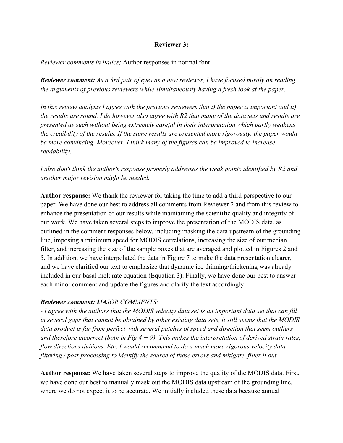## **Reviewer 3:**

*Reviewer comments in italics;* Author responses in normal font

*Reviewer comment: As a 3rd pair of eyes as a new reviewer, I have focused mostly on reading the arguments of previous reviewers while simultaneously having a fresh look at the paper.* 

*In this review analysis I agree with the previous reviewers that i) the paper is important and ii) the results are sound. I do however also agree with R2 that many of the data sets and results are presented as such without being extremely careful in their interpretation which partly weakens the credibility of the results. If the same results are presented more rigorously, the paper would be more convincing. Moreover, I think many of the figures can be improved to increase readability.*

# *I also don't think the author's response properly addresses the weak points identified by R2 and another major revision might be needed.*

**Author response:** We thank the reviewer for taking the time to add a third perspective to our paper. We have done our best to address all comments from Reviewer 2 and from this review to enhance the presentation of our results while maintaining the scientific quality and integrity of our work. We have taken several steps to improve the presentation of the MODIS data, as outlined in the comment responses below, including masking the data upstream of the grounding line, imposing a minimum speed for MODIS correlations, increasing the size of our median filter, and increasing the size of the sample boxes that are averaged and plotted in Figures 2 and 5. In addition, we have interpolated the data in Figure 7 to make the data presentation clearer, and we have clarified our text to emphasize that dynamic ice thinning/thickening was already included in our basal melt rate equation (Equation 3). Finally, we have done our best to answer each minor comment and update the figures and clarify the text accordingly.

# *Reviewer comment: MAJOR COMMENTS:*

*- I agree with the authors that the MODIS velocity data set is an important data set that can fill in several gaps that cannot be obtained by other existing data sets, it still seems that the MODIS data product is far from perfect with several patches of speed and direction that seem outliers and therefore incorrect (both in Fig 4 + 9). This makes the interpretation of derived strain rates, flow directions dubious. Etc. I would recommend to do a much more rigorous velocity data filtering / post-processing to identify the source of these errors and mitigate, filter it out.*

**Author response:** We have taken several steps to improve the quality of the MODIS data. First, we have done our best to manually mask out the MODIS data upstream of the grounding line, where we do not expect it to be accurate. We initially included these data because annual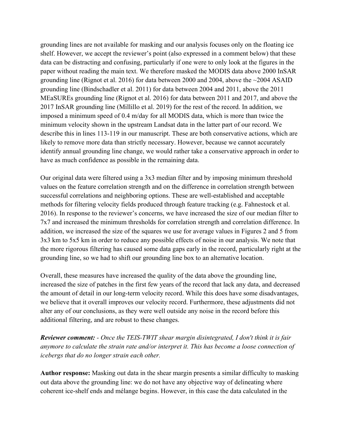grounding lines are not available for masking and our analysis focuses only on the floating ice shelf. However, we accept the reviewer's point (also expressed in a comment below) that these data can be distracting and confusing, particularly if one were to only look at the figures in the paper without reading the main text. We therefore masked the MODIS data above 2000 InSAR grounding line (Rignot et al. 2016) for data between 2000 and 2004, above the ~2004 ASAID grounding line (Bindschadler et al. 2011) for data between 2004 and 2011, above the 2011 MEaSUREs grounding line (Rignot et al. 2016) for data between 2011 and 2017, and above the 2017 InSAR grounding line (Millillo et al. 2019) for the rest of the record. In addition, we imposed a minimum speed of 0.4 m/day for all MODIS data, which is more than twice the minimum velocity shown in the upstream Landsat data in the latter part of our record. We describe this in lines 113-119 in our manuscript. These are both conservative actions, which are likely to remove more data than strictly necessary. However, because we cannot accurately identify annual grounding line change, we would rather take a conservative approach in order to have as much confidence as possible in the remaining data.

Our original data were filtered using a 3x3 median filter and by imposing minimum threshold values on the feature correlation strength and on the difference in correlation strength between successful correlations and neighboring options. These are well-established and acceptable methods for filtering velocity fields produced through feature tracking (e.g. Fahnestock et al. 2016). In response to the reviewer's concerns, we have increased the size of our median filter to 7x7 and increased the minimum thresholds for correlation strength and correlation difference. In addition, we increased the size of the squares we use for average values in Figures 2 and 5 from 3x3 km to 5x5 km in order to reduce any possible effects of noise in our analysis. We note that the more rigorous filtering has caused some data gaps early in the record, particularly right at the grounding line, so we had to shift our grounding line box to an alternative location.

Overall, these measures have increased the quality of the data above the grounding line, increased the size of patches in the first few years of the record that lack any data, and decreased the amount of detail in our long-term velocity record. While this does have some disadvantages, we believe that it overall improves our velocity record. Furthermore, these adjustments did not alter any of our conclusions, as they were well outside any noise in the record before this additional filtering, and are robust to these changes.

*Reviewer comment: - Once the TEIS-TWIT shear margin disintegrated, I don't think it is fair anymore to calculate the strain rate and/or interpret it. This has become a loose connection of icebergs that do no longer strain each other.*

**Author response:** Masking out data in the shear margin presents a similar difficulty to masking out data above the grounding line: we do not have any objective way of delineating where coherent ice-shelf ends and mélange begins. However, in this case the data calculated in the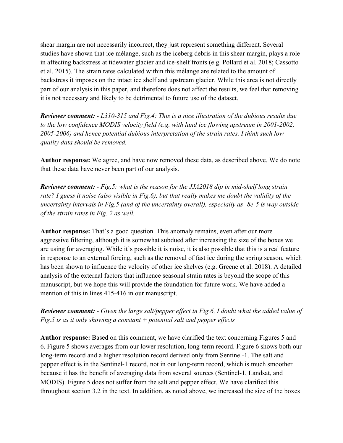shear margin are not necessarily incorrect, they just represent something different. Several studies have shown that ice mélange, such as the iceberg debris in this shear margin, plays a role in affecting backstress at tidewater glacier and ice-shelf fronts (e.g. Pollard et al. 2018; Cassotto et al. 2015). The strain rates calculated within this mélange are related to the amount of backstress it imposes on the intact ice shelf and upstream glacier. While this area is not directly part of our analysis in this paper, and therefore does not affect the results, we feel that removing it is not necessary and likely to be detrimental to future use of the dataset.

*Reviewer comment: - L310-315 and Fig.4: This is a nice illustration of the dubious results due to the low confidence MODIS velocity field (e.g. with land ice flowing upstream in 2001-2002, 2005-2006) and hence potential dubious interpretation of the strain rates. I think such low quality data should be removed.*

**Author response:** We agree, and have now removed these data, as described above. We do note that these data have never been part of our analysis.

*Reviewer comment: - Fig.5: what is the reason for the JJA2018 dip in mid-shelf long strain rate? I guess it noise (also visible in Fig.6), but that really makes me doubt the validity of the uncertainty intervals in Fig.5 (and of the uncertainty overall), especially as -8e-5 is way outside of the strain rates in Fig. 2 as well.*

**Author response:** That's a good question. This anomaly remains, even after our more aggressive filtering, although it is somewhat subdued after increasing the size of the boxes we are using for averaging. While it's possible it is noise, it is also possible that this is a real feature in response to an external forcing, such as the removal of fast ice during the spring season, which has been shown to influence the velocity of other ice shelves (e.g. Greene et al. 2018). A detailed analysis of the external factors that influence seasonal strain rates is beyond the scope of this manuscript, but we hope this will provide the foundation for future work. We have added a mention of this in lines 415-416 in our manuscript.

# *Reviewer comment: - Given the large salt/pepper effect in Fig.6, I doubt what the added value of Fig.5 is as it only showing a constant + potential salt and pepper effects*

**Author response:** Based on this comment, we have clarified the text concerning Figures 5 and 6. Figure 5 shows averages from our lower resolution, long-term record. Figure 6 shows both our long-term record and a higher resolution record derived only from Sentinel-1. The salt and pepper effect is in the Sentinel-1 record, not in our long-term record, which is much smoother because it has the benefit of averaging data from several sources (Sentinel-1, Landsat, and MODIS). Figure 5 does not suffer from the salt and pepper effect. We have clarified this throughout section 3.2 in the text. In addition, as noted above, we increased the size of the boxes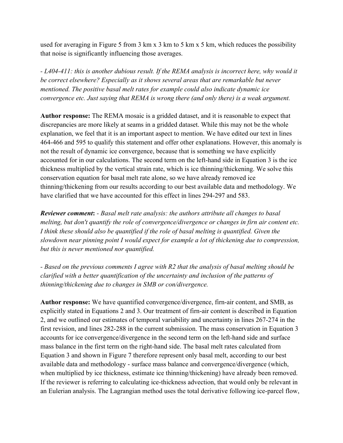used for averaging in Figure 5 from 3 km x 3 km to 5 km x 5 km, which reduces the possibility that noise is significantly influencing those averages.

*- L404-411: this is another dubious result. If the REMA analysis is incorrect here, why would it be correct elsewhere? Especially as it shows several areas that are remarkable but never mentioned. The positive basal melt rates for example could also indicate dynamic ice convergence etc. Just saying that REMA is wrong there (and only there) is a weak argument.*

**Author response:** The REMA mosaic is a gridded dataset, and it is reasonable to expect that discrepancies are more likely at seams in a gridded dataset. While this may not be the whole explanation, we feel that it is an important aspect to mention. We have edited our text in lines 464-466 and 595 to qualify this statement and offer other explanations. However, this anomaly is not the result of dynamic ice convergence, because that is something we have explicitly accounted for in our calculations. The second term on the left-hand side in Equation 3 is the ice thickness multiplied by the vertical strain rate, which is ice thinning/thickening. We solve this conservation equation for basal melt rate alone, so we have already removed ice thinning/thickening from our results according to our best available data and methodology. We have clarified that we have accounted for this effect in lines 294-297 and 583.

*Reviewer comment***:** *- Basal melt rate analysis: the authors attribute all changes to basal melting, but don't quantify the role of convergence/divergence or changes in firn air content etc. I think these should also be quantified if the role of basal melting is quantified. Given the slowdown near pinning point I would expect for example a lot of thickening due to compression, but this is never mentioned nor quantified.*

*- Based on the previous comments I agree with R2 that the analysis of basal melting should be clarified with a better quantification of the uncertainty and inclusion of the patterns of thinning/thickening due to changes in SMB or con/divergence.*

**Author response:** We have quantified convergence/divergence, firn-air content, and SMB, as explicitly stated in Equations 2 and 3. Our treatment of firn-air content is described in Equation 2, and we outlined our estimates of temporal variability and uncertainty in lines 267-274 in the first revision, and lines 282-288 in the current submission. The mass conservation in Equation 3 accounts for ice convergence/divergence in the second term on the left-hand side and surface mass balance in the first term on the right-hand side. The basal melt rates calculated from Equation 3 and shown in Figure 7 therefore represent only basal melt, according to our best available data and methodology - surface mass balance and convergence/divergence (which, when multiplied by ice thickness, estimate ice thinning/thickening) have already been removed. If the reviewer is referring to calculating ice-thickness advection, that would only be relevant in an Eulerian analysis. The Lagrangian method uses the total derivative following ice-parcel flow,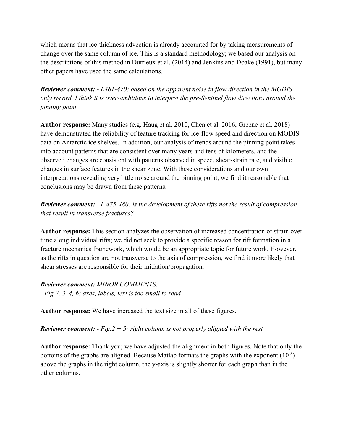which means that ice-thickness advection is already accounted for by taking measurements of change over the same column of ice. This is a standard methodology; we based our analysis on the descriptions of this method in Dutrieux et al. (2014) and Jenkins and Doake (1991), but many other papers have used the same calculations.

*Reviewer comment: - L461-470: based on the apparent noise in flow direction in the MODIS only record, I think it is over-ambitious to interpret the pre-Sentinel flow directions around the pinning point.* 

**Author response:** Many studies (e.g. Haug et al. 2010, Chen et al. 2016, Greene et al. 2018) have demonstrated the reliability of feature tracking for ice-flow speed and direction on MODIS data on Antarctic ice shelves. In addition, our analysis of trends around the pinning point takes into account patterns that are consistent over many years and tens of kilometers, and the observed changes are consistent with patterns observed in speed, shear-strain rate, and visible changes in surface features in the shear zone. With these considerations and our own interpretations revealing very little noise around the pinning point, we find it reasonable that conclusions may be drawn from these patterns.

*Reviewer comment: - L 475-480: is the development of these rifts not the result of compression that result in transverse fractures?* 

**Author response:** This section analyzes the observation of increased concentration of strain over time along individual rifts; we did not seek to provide a specific reason for rift formation in a fracture mechanics framework, which would be an appropriate topic for future work. However, as the rifts in question are not transverse to the axis of compression, we find it more likely that shear stresses are responsible for their initiation/propagation.

*Reviewer comment: MINOR COMMENTS: - Fig.2, 3, 4, 6: axes, labels, text is too small to read*

**Author response:** We have increased the text size in all of these figures.

*Reviewer comment: - Fig.2 + 5: right column is not properly aligned with the rest*

**Author response:** Thank you; we have adjusted the alignment in both figures. Note that only the bottoms of the graphs are aligned. Because Matlab formats the graphs with the exponent  $(10^{-5})$ above the graphs in the right column, the y-axis is slightly shorter for each graph than in the other columns.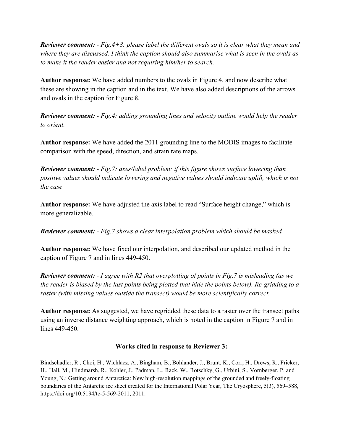*Reviewer comment: - Fig.4+8: please label the different ovals so it is clear what they mean and where they are discussed. I think the caption should also summarise what is seen in the ovals as to make it the reader easier and not requiring him/her to search.*

**Author response:** We have added numbers to the ovals in Figure 4, and now describe what these are showing in the caption and in the text. We have also added descriptions of the arrows and ovals in the caption for Figure 8.

*Reviewer comment: - Fig.4: adding grounding lines and velocity outline would help the reader to orient.* 

**Author response:** We have added the 2011 grounding line to the MODIS images to facilitate comparison with the speed, direction, and strain rate maps.

*Reviewer comment: - Fig.7: axes/label problem: if this figure shows surface lowering than positive values should indicate lowering and negative values should indicate uplift, which is not the case*

**Author response:** We have adjusted the axis label to read "Surface height change," which is more generalizable.

*Reviewer comment: - Fig.7 shows a clear interpolation problem which should be masked*

**Author response:** We have fixed our interpolation, and described our updated method in the caption of Figure 7 and in lines 449-450.

*Reviewer comment: - I agree with R2 that overplotting of points in Fig.7 is misleading (as we the reader is biased by the last points being plotted that hide the points below). Re-gridding to a raster (with missing values outside the transect) would be more scientifically correct.*

**Author response:** As suggested, we have regridded these data to a raster over the transect paths using an inverse distance weighting approach, which is noted in the caption in Figure 7 and in lines 449-450.

## **Works cited in response to Reviewer 3:**

Bindschadler, R., Choi, H., Wichlacz, A., Bingham, B., Bohlander, J., Brunt, K., Corr, H., Drews, R., Fricker, H., Hall, M., Hindmarsh, R., Kohler, J., Padman, L., Rack, W., Rotschky, G., Urbini, S., Vornberger, P. and Young, N.: Getting around Antarctica: New high-resolution mappings of the grounded and freely-floating boundaries of the Antarctic ice sheet created for the International Polar Year, The Cryosphere, 5(3), 569–588, https://doi.org/10.5194/tc-5-569-2011, 2011.